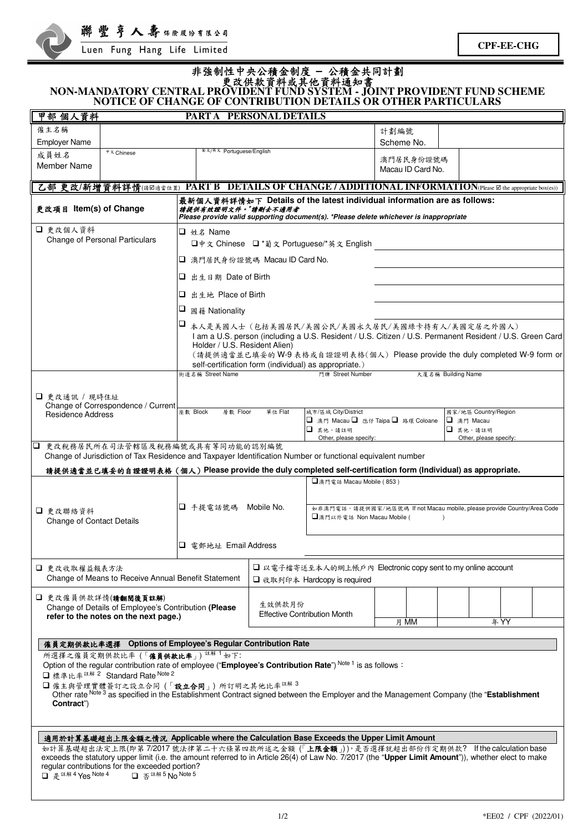

| NON-MANDATORY CENTRAL PROVIDENT FUND SYSTEM - JOINT PROVIDENT FUND SCHEME                                                                                                                                                                                                                                                                                                                                                                                                                                                                                                                                                                                                                                              | NOTICE OF CHANGE OF CONTRIBUTION DETAILS OR OTHER PARTICULARS |                                                                                                                                                                                                                                                                                                                                      | 非強制性中央公積金制度 - 公積金共同計劃                                                                                                                                             |                                                                                                                    |                                                  |      |  |  |
|------------------------------------------------------------------------------------------------------------------------------------------------------------------------------------------------------------------------------------------------------------------------------------------------------------------------------------------------------------------------------------------------------------------------------------------------------------------------------------------------------------------------------------------------------------------------------------------------------------------------------------------------------------------------------------------------------------------------|---------------------------------------------------------------|--------------------------------------------------------------------------------------------------------------------------------------------------------------------------------------------------------------------------------------------------------------------------------------------------------------------------------------|-------------------------------------------------------------------------------------------------------------------------------------------------------------------|--------------------------------------------------------------------------------------------------------------------|--------------------------------------------------|------|--|--|
| 甲部 個人資料                                                                                                                                                                                                                                                                                                                                                                                                                                                                                                                                                                                                                                                                                                                | PARTA PERSONAL DETAILS                                        |                                                                                                                                                                                                                                                                                                                                      |                                                                                                                                                                   |                                                                                                                    |                                                  |      |  |  |
| 僱主名稱<br><b>Employer Name</b>                                                                                                                                                                                                                                                                                                                                                                                                                                                                                                                                                                                                                                                                                           |                                                               |                                                                                                                                                                                                                                                                                                                                      |                                                                                                                                                                   | 計劃編號<br>Scheme No.                                                                                                 |                                                  |      |  |  |
| 中文 Chinese<br>成員姓名<br>Member Name                                                                                                                                                                                                                                                                                                                                                                                                                                                                                                                                                                                                                                                                                      | <sup>前文/英文</sup> Portuguese/English                           |                                                                                                                                                                                                                                                                                                                                      |                                                                                                                                                                   | 澳門居民身份證號碼<br>Macau ID Card No.                                                                                     |                                                  |      |  |  |
| 乙部 更改/新增資料詳情(诗区通音位置) PART B DETAILS OF CHANGE / ADDITIONAL INFORMATION(Please El the appropriate box(es))                                                                                                                                                                                                                                                                                                                                                                                                                                                                                                                                                                                                              |                                                               |                                                                                                                                                                                                                                                                                                                                      |                                                                                                                                                                   |                                                                                                                    |                                                  |      |  |  |
| 更改項目 Item(s) of Change                                                                                                                                                                                                                                                                                                                                                                                                                                                                                                                                                                                                                                                                                                 | 請提供有效證明文件。"請刪去不適用者                                            |                                                                                                                                                                                                                                                                                                                                      | 最新個人資料詳情如下 Details of the latest individual information are as follows:<br>Please provide valid supporting document(s). *Please delete whichever is inappropriate |                                                                                                                    |                                                  |      |  |  |
| □ 更改個人資料<br><b>Change of Personal Particulars</b>                                                                                                                                                                                                                                                                                                                                                                                                                                                                                                                                                                                                                                                                      | □ 姓名 Name                                                     | □中文 Chinese □ *葡文 Portuguese/*英文 English                                                                                                                                                                                                                                                                                             |                                                                                                                                                                   |                                                                                                                    |                                                  |      |  |  |
|                                                                                                                                                                                                                                                                                                                                                                                                                                                                                                                                                                                                                                                                                                                        |                                                               | □ 澳門居民身份證號碼 Macau ID Card No.                                                                                                                                                                                                                                                                                                        |                                                                                                                                                                   |                                                                                                                    |                                                  |      |  |  |
|                                                                                                                                                                                                                                                                                                                                                                                                                                                                                                                                                                                                                                                                                                                        |                                                               | □ 出生日期 Date of Birth                                                                                                                                                                                                                                                                                                                 |                                                                                                                                                                   |                                                                                                                    |                                                  |      |  |  |
|                                                                                                                                                                                                                                                                                                                                                                                                                                                                                                                                                                                                                                                                                                                        |                                                               | □ 出生地 Place of Birth                                                                                                                                                                                                                                                                                                                 |                                                                                                                                                                   |                                                                                                                    |                                                  |      |  |  |
|                                                                                                                                                                                                                                                                                                                                                                                                                                                                                                                                                                                                                                                                                                                        | ⊔<br>國籍 Nationality                                           |                                                                                                                                                                                                                                                                                                                                      |                                                                                                                                                                   |                                                                                                                    |                                                  |      |  |  |
|                                                                                                                                                                                                                                                                                                                                                                                                                                                                                                                                                                                                                                                                                                                        |                                                               | 1□ 本人是美國人士(包括美國居民/美國公民/美國永久居民/美國綠卡持有人/美國定居之外國人)<br>I am a U.S. person (including a U.S. Resident / U.S. Citizen / U.S. Permanent Resident / U.S. Green Card<br>Holder / U.S. Resident Alien)<br>(請提供適當並已填妥的 W-9 表格或自證證明表格(個人) Please provide the duly completed W-9 form or<br>self-certification form (individual) as appropriate.) |                                                                                                                                                                   |                                                                                                                    |                                                  |      |  |  |
|                                                                                                                                                                                                                                                                                                                                                                                                                                                                                                                                                                                                                                                                                                                        | 街道名稱 Street Name                                              |                                                                                                                                                                                                                                                                                                                                      | 門牌 Street Number                                                                                                                                                  |                                                                                                                    | 大廈名稱 Building Name                               |      |  |  |
| □ 更改通訊 / 現時住址<br>Change of Correspondence / Current<br><b>Residence Address</b>                                                                                                                                                                                                                                                                                                                                                                                                                                                                                                                                                                                                                                        | 座数 Block                                                      | 城市/區域 City/District<br>層數 Floor<br>單位 Flat<br>國家/地區 Country/Region                                                                                                                                                                                                                                                                   |                                                                                                                                                                   |                                                                                                                    |                                                  |      |  |  |
|                                                                                                                                                                                                                                                                                                                                                                                                                                                                                                                                                                                                                                                                                                                        |                                                               | □ 澳門 Macau □ 氹仔 Taipa □ 路環 Coloane<br>□ 其他,請註明<br>Other, please specify:                                                                                                                                                                                                                                                             |                                                                                                                                                                   |                                                                                                                    | □ 澳門 Macau<br>□ 其他,請註明<br>Other, please specify: |      |  |  |
| 更改稅務居民所在司法管轄區及稅務編號或具有等同功能的認別編號<br>Q.<br>Change of Jurisdiction of Tax Residence and Taxpayer Identification Number or functional equivalent number<br>請提供適當並已填妥的自證證明表格 (個人) Please provide the duly completed self-certification form (Individual) as appropriate.                                                                                                                                                                                                                                                                                                                                                                                                                                                     |                                                               |                                                                                                                                                                                                                                                                                                                                      |                                                                                                                                                                   |                                                                                                                    |                                                  |      |  |  |
|                                                                                                                                                                                                                                                                                                                                                                                                                                                                                                                                                                                                                                                                                                                        |                                                               |                                                                                                                                                                                                                                                                                                                                      | □澳門電話 Macau Mobile (853)                                                                                                                                          |                                                                                                                    |                                                  |      |  |  |
| □ 更改聯絡資料<br><b>Change of Contact Details</b>                                                                                                                                                                                                                                                                                                                                                                                                                                                                                                                                                                                                                                                                           | □ 手提電話號碼                                                      | Mobile No.                                                                                                                                                                                                                                                                                                                           |                                                                                                                                                                   | 如非澳門電話,請提供國家/地區號碼 If not Macau mobile, please provide Country/Area Code<br>□澳門以外電話 Non Macau Mobile (<br>$\lambda$ |                                                  |      |  |  |
|                                                                                                                                                                                                                                                                                                                                                                                                                                                                                                                                                                                                                                                                                                                        |                                                               | □ 雷郵地址 Email Address                                                                                                                                                                                                                                                                                                                 |                                                                                                                                                                   |                                                                                                                    |                                                  |      |  |  |
| □ 更改收取權益報表方法<br>Change of Means to Receive Annual Benefit Statement                                                                                                                                                                                                                                                                                                                                                                                                                                                                                                                                                                                                                                                    |                                                               | □ 以電子檔寄送至本人的網上帳戶內 Electronic copy sent to my online account<br>□ 收取列印本 Hardcopy is required                                                                                                                                                                                                                                          |                                                                                                                                                                   |                                                                                                                    |                                                  |      |  |  |
| □ 更改僱員供款詳情(請翻閱後頁註解)<br>Change of Details of Employee's Contribution (Please<br>refer to the notes on the next page.)                                                                                                                                                                                                                                                                                                                                                                                                                                                                                                                                                                                                   |                                                               | 生效供款月份<br><b>Effective Contribution Month</b>                                                                                                                                                                                                                                                                                        |                                                                                                                                                                   |                                                                                                                    |                                                  |      |  |  |
|                                                                                                                                                                                                                                                                                                                                                                                                                                                                                                                                                                                                                                                                                                                        |                                                               |                                                                                                                                                                                                                                                                                                                                      |                                                                                                                                                                   | 月 MM                                                                                                               |                                                  | 年 YY |  |  |
| 僱員定期供款比率選擇 Options of Employee's Regular Contribution Rate<br>所選擇之僱員定期供款比率 (「僱員供款比率」) <sup>註解 1</sup> 如下:<br>Option of the regular contribution rate of employee ("Employee's Contribution Rate") Note 1 is as follows :<br>□標準比率 $*$ <sup>注解 2</sup> Standard Rate Note 2<br>□僱主與管理實體簽訂之設立合同(「設立合同」)所訂明之其他比率注解3<br>Other rate Note 3 as specified in the Establishment Contract signed between the Employer and the Management Company (the "Establishment<br>Contract")                                                                                                                                                                                                                                              |                                                               |                                                                                                                                                                                                                                                                                                                                      |                                                                                                                                                                   |                                                                                                                    |                                                  |      |  |  |
| 適用於計算基礎超出上限金額之情況 Applicable where the Calculation Base Exceeds the Upper Limit Amount<br>如計算基礎超出法定上限(即第7/2017號法律第二十六條第四款所述之金額 (「上限金額」)),是否選擇就超出部份作定期供款? If the calculation base<br>exceeds the statutory upper limit (i.e. the amount referred to in Article 26(4) of Law No. 7/2017 (the "Upper Limit Amount")), whether elect to make<br>regular contributions for the exceeded portion?<br>$\Box$ $\frac{1}{6}$ $\frac{1}{6}$ $\frac{1}{6}$ $\frac{1}{6}$ $\frac{1}{6}$ $\frac{1}{6}$ $\frac{1}{6}$ $\frac{1}{6}$ $\frac{1}{6}$ $\frac{1}{6}$ $\frac{1}{6}$ $\frac{1}{6}$ $\frac{1}{6}$ $\frac{1}{6}$ $\frac{1}{6}$ $\frac{1}{6}$ $\frac{1}{6}$ $\frac{1}{6}$ $\frac{1}{6}$ $\frac{1}{6}$ $\frac{1}{6}$ $\frac{1}{$ | □ 否 <sup>註解 5</sup> No Note 5                                 |                                                                                                                                                                                                                                                                                                                                      |                                                                                                                                                                   |                                                                                                                    |                                                  |      |  |  |